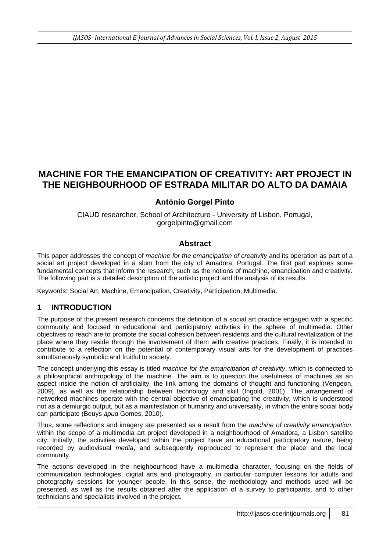# **MACHINE FOR THE EMANCIPATION OF CREATIVITY: ART PROJECT IN THE NEIGHBOURHOOD OF ESTRADA MILITAR DO ALTO DA DAMAIA**

### **António Gorgel Pinto**

CIAUD researcher, School of Architecture - University of Lisbon, Portugal, gorgelpinto@gmail.com

#### **Abstract**

This paper addresses the concept of *machine for the emancipation of creativity* and its operation as part of a social art project developed in a slum from the city of Amadora, Portugal. The first part explores some fundamental concepts that inform the research, such as the notions of machine, emancipation and creativity. The following part is a detailed description of the artistic project and the analysis of its results.

Keywords: Social Art, Machine, Emancipation, Creativity, Participation, Multimedia.

#### **1 INTRODUCTION**

The purpose of the present research concerns the definition of a social art practice engaged with a specific community and focused in educational and participatory activities in the sphere of multimedia. Other objectives to reach are to promote the social cohesion between residents and the cultural revitalization of the place where they reside through the involvement of them with creative practices. Finally, it is intended to contribute to a reflection on the potential of contemporary visual arts for the development of practices simultaneously symbolic and fruitful to society.

The concept underlying this essay is titled *machine for the emancipation of creativity*, which is connected to a philosophical anthropology of the machine. The aim is to question the usefulness of machines as an aspect inside the notion of artificiality, the link among the domains of thought and functioning (Vengeon, 2009), as well as the relationship between technology and skill (Ingold, 2001). The arrangement of networked machines operate with the central objective of emancipating the creativity, which is understood not as a demiurgic output, but as a manifestation of humanity and universality, in which the entire social body can participate (Beuys *apud* Gomes, 2010).

Thus, some reflections and imagery are presented as a result from the *machine of creativity emancipation*, within the scope of a multimedia art project developed in a neighbourhood of Amadora, a Lisbon satellite city. Initially, the activities developed within the project have an educational participatory nature, being recorded by audiovisual *media*, and subsequently reproduced to represent the place and the local community.

The actions developed in the neighbourhood have a multimedia character, focusing on the fields of communication technologies, digital arts and photography, in particular computer lessons for adults and photography sessions for younger people. In this sense, the methodology and methods used will be presented, as well as the results obtained after the application of a survey to participants, and to other technicians and specialists involved in the project.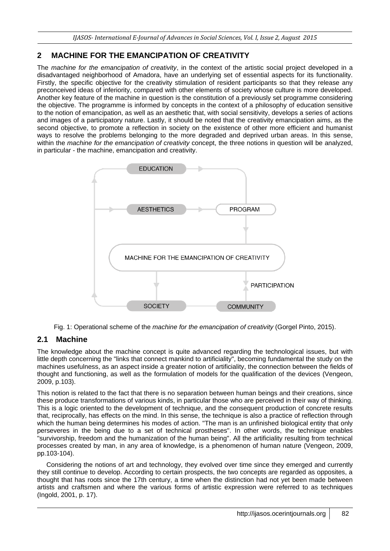# **2 MACHINE FOR THE EMANCIPATION OF CREATIVITY**

The *machine for the emancipation of creativity*, in the context of the artistic social project developed in a disadvantaged neighborhood of Amadora, have an underlying set of essential aspects for its functionality. Firstly, the specific objective for the creativity stimulation of resident participants so that they release any preconceived ideas of inferiority, compared with other elements of society whose culture is more developed. Another key feature of the machine in question is the constitution of a previously set programme considering the objective. The programme is informed by concepts in the context of a philosophy of education sensitive to the notion of emancipation, as well as an aesthetic that, with social sensitivity, develops a series of actions and images of a participatory nature. Lastly, it should be noted that the creativity emancipation aims, as the second objective, to promote a reflection in society on the existence of other more efficient and humanist ways to resolve the problems belonging to the more degraded and deprived urban areas. In this sense, within the *machine for the emancipation of creativity* concept, the three notions in question will be analyzed, in particular - the machine, emancipation and creativity.



Fig. 1: Operational scheme of the *machine for the emancipation of creativity* (Gorgel Pinto, 2015).

## **2.1 Machine**

The knowledge about the machine concept is quite advanced regarding the technological issues, but with little depth concerning the "links that connect mankind to artificiality", becoming fundamental the study on the machines usefulness, as an aspect inside a greater notion of artificiality, the connection between the fields of thought and functioning, as well as the formulation of models for the qualification of the devices (Vengeon, 2009, p.103).

This notion is related to the fact that there is no separation between human beings and their creations, since these produce transformations of various kinds, in particular those who are perceived in their way of thinking. This is a logic oriented to the development of technique, and the consequent production of concrete results that, reciprocally, has effects on the mind. In this sense, the technique is also a practice of reflection through which the human being determines his modes of action. "The man is an unfinished biological entity that only perseveres in the being due to a set of technical prostheses". In other words, the technique enables "survivorship, freedom and the humanization of the human being". All the artificiality resulting from technical processes created by man, in any area of knowledge, is a phenomenon of human nature (Vengeon, 2009, pp.103-104).

Considering the notions of art and technology, they evolved over time since they emerged and currently they still continue to develop. According to certain prospects, the two concepts are regarded as opposites, a thought that has roots since the 17th century, a time when the distinction had not yet been made between artists and craftsmen and where the various forms of artistic expression were referred to as techniques (Ingold, 2001, p. 17).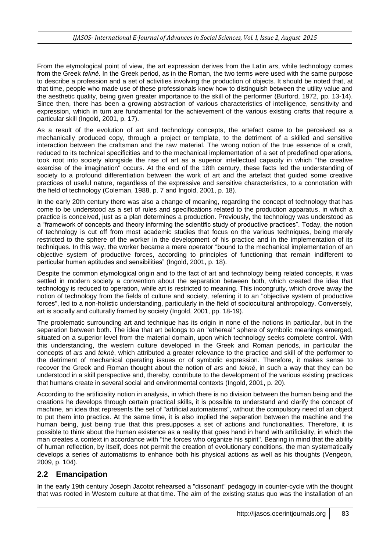From the etymological point of view, the art expression derives from the Latin *ars*, while technology comes from the Greek *teknè*. In the Greek period, as in the Roman, the two terms were used with the same purpose to describe a profession and a set of activities involving the production of objects. It should be noted that, at that time, people who made use of these professionals knew how to distinguish between the utility value and the aesthetic quality, being given greater importance to the skill of the performer (Burford, 1972, pp. 13-14). Since then, there has been a growing abstraction of various characteristics of intelligence, sensitivity and expression, which in turn are fundamental for the achievement of the various existing crafts that require a particular skill (Ingold, 2001, p. 17).

As a result of the evolution of art and technology concepts, the artefact came to be perceived as a mechanically produced copy, through a project or template, to the detriment of a skilled and sensitive interaction between the craftsman and the raw material. The wrong notion of the true essence of a craft, reduced to its technical specificities and to the mechanical implementation of a set of predefined operations, took root into society alongside the rise of art as a superior intellectual capacity in which "the creative exercise of the imagination" occurs. At the end of the 18th century, these facts led the understanding of society to a profound differentiation between the work of art and the artefact that guided some creative practices of useful nature, regardless of the expressive and sensitive characteristics, to a connotation with the field of technology (Coleman, 1988, p. 7 and Ingold, 2001, p. 18).

In the early 20th century there was also a change of meaning, regarding the concept of technology that has come to be understood as a set of rules and specifications related to the production apparatus, in which a practice is conceived, just as a plan determines a production. Previously, the technology was understood as a "framework of concepts and theory informing the scientific study of productive practices". Today, the notion of technology is cut off from most academic studies that focus on the various techniques, being merely restricted to the sphere of the worker in the development of his practice and in the implementation of its techniques. In this way, the worker became a mere operator "bound to the mechanical implementation of an objective system of productive forces, according to principles of functioning that remain indifferent to particular human aptitudes and sensibilities" (Ingold, 2001, p. 18).

Despite the common etymological origin and to the fact of art and technology being related concepts, it was settled in modern society a convention about the separation between both, which created the idea that technology is reduced to operation, while art is restricted to meaning. This incongruity, which drove away the notion of technology from the fields of culture and society, referring it to an "objective system of productive forces", led to a non-holistic understanding, particularly in the field of sociocultural anthropology. Conversely, art is socially and culturally framed by society (Ingold, 2001, pp. 18-19).

The problematic surrounding art and technique has its origin in none of the notions in particular, but in the separation between both. The idea that art belongs to an "ethereal" sphere of symbolic meanings emerged, situated on a superior level from the material domain, upon which technology seeks complete control. With this understanding, the western culture developed in the Greek and Roman periods, in particular the concepts of *ars* and *teknè*, which attributed a greater relevance to the practice and skill of the performer to the detriment of mechanical operating issues or of symbolic expression. Therefore, it makes sense to recover the Greek and Roman thought about the notion of *ars* and *teknè*, in such a way that they can be understood in a skill perspective and, thereby, contribute to the development of the various existing practices that humans create in several social and environmental contexts (Ingold, 2001, p. 20).

According to the artificiality notion in analysis, in which there is no division between the human being and the creations he develops through certain practical skills, it is possible to understand and clarify the concept of machine, an idea that represents the set of "artificial automatisms", without the compulsory need of an object to put them into practice. At the same time, it is also implied the separation between the machine and the human being, just being true that this presupposes a set of actions and functionalities. Therefore, it is possible to think about the human existence as a reality that goes hand in hand with artificiality, in which the man creates a context in accordance with "the forces who organize his spirit". Bearing in mind that the ability of human reflection, by itself, does not permit the creation of evolutionary conditions, the man systematically develops a series of automatisms to enhance both his physical actions as well as his thoughts (Vengeon, 2009, p. 104).

#### **2.2 Emancipation**

In the early 19th century Joseph Jacotot rehearsed a "dissonant" pedagogy in counter-cycle with the thought that was rooted in Western culture at that time. The aim of the existing status quo was the installation of an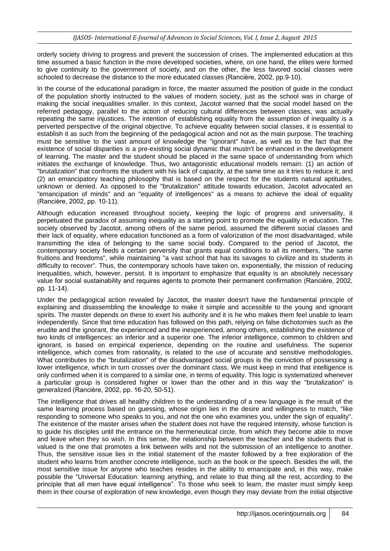orderly society driving to progress and prevent the succession of crises. The implemented education at this time assumed a basic function in the more developed societies, where, on one hand, the elites were formed to give continuity to the government of society, and on the other, the less favored social classes were schooled to decrease the distance to the more educated classes (Rancière, 2002, pp.9-10).

In the course of the educational paradigm in force, the master assumed the position of guide in the conduct of the population shortly instructed to the values of modern society, just as the school was in charge of making the social inequalities smaller. In this context, Jacotot warned that the social model based on the referred pedagogy, parallel to the action of reducing cultural differences between classes, was actually repeating the same injustices. The intention of establishing equality from the assumption of inequality is a perverted perspective of the original objective. To achieve equality between social classes, it is essential to establish it as such from the beginning of the pedagogical action and not as the main purpose. The teaching must be sensitive to the vast amount of knowledge the "ignorant" have, as well as to the fact that the existence of social disparities is a pre-existing social dynamic that mustn't be enhanced in the development of learning. The master and the student should be placed in the same space of understanding from which initiates the exchange of knowledge. Thus, two antagonistic educational models remain: (1) an action of "brutalization" that confronts the student with his lack of capacity, at the same time as it tries to reduce it; and (2) an emancipatory teaching philosophy that is based on the respect for the students natural aptitudes, unknown or denied. As opposed to the "brutalization" attitude towards education, Jacotot advocated an "emancipation of minds" and an "equality of intelligences" as a means to achieve the ideal of equality (Rancière, 2002, pp. 10-11).

Although education increased throughout society, keeping the logic of progress and universality, it perpetuated the paradox of assuming inequality as a starting point to promote the equality in education. The society observed by Jacotot, among others of the same period, assumed the different social classes and their lack of equality, where education functioned as a form of valorization of the most disadvantaged, while transmitting the idea of belonging to the same social body. Compared to the period of Jacotot, the contemporary society feeds a certain perversity that grants equal conditions to all its members, "the same fruitions and freedoms", while maintaining "a vast school that has its savages to civilize and its students in difficulty to recover". Thus, the contemporary schools have taken on, exponentially, the mission of reducing inequalities, which, however, persist. It is important to emphasize that equality is an absolutely necessary value for social sustainability and requires agents to promote their permanent confirmation (Rancière, 2002, pp. 11-14).

Under the pedagogical action revealed by Jacotot, the master doesn't have the fundamental principle of explaining and disassembling the knowledge to make it simple and accessible to the young and ignorant spirits. The master depends on these to exert his authority and it is he who makes them feel unable to learn independently. Since that time education has followed on this path, relying on false dichotomies such as the erudite and the ignorant, the experienced and the inexperienced, among others, establishing the existence of two kinds of intelligences: an inferior and a superior one. The inferior intelligence, common to children and ignorant, is based on empirical experience, depending on the routine and usefulness. The superior intelligence, which comes from rationality, is related to the use of accurate and sensitive methodologies. What contributes to the "brutalization" of the disadvantaged social groups is the conviction of possessing a lower intelligence, which in turn crosses over the dominant class. We must keep in mind that intelligence is only confirmed when it is compared to a similar one, in terms of equality. This logic is systematized whenever a particular group is considered higher or lower than the other and in this way the "brutalization" is generalized (Rancière, 2002, pp. 16-20, 50-51).

The intelligence that drives all healthy children to the understanding of a new language is the result of the same learning process based on guessing, whose origin lies in the desire and willingness to match, "like responding to someone who speaks to you, and not the one who examines you, under the sign of equality". The existence of the master arises when the student does not have the required intensity, whose function is to guide his disciples until the entrance on the hermeneutical circle, from which they become able to move and leave when they so wish. In this sense, the relationship between the teacher and the students that is valued is the one that promotes a link between wills and not the submission of an intelligence to another. Thus, the sensitive issue lies in the initial statement of the master followed by a free exploration of the student who learns from another concrete intelligence, such as the book or the speech. Besides the will, the most sensitive issue for anyone who teaches resides in the ability to emancipate and, in this way, make possible the "Universal Education: learning anything, and relate to that thing all the rest, according to the principle that all men have equal intelligence". To those who seek to learn, the master must simply keep them in their course of exploration of new knowledge, even though they may deviate from the initial objective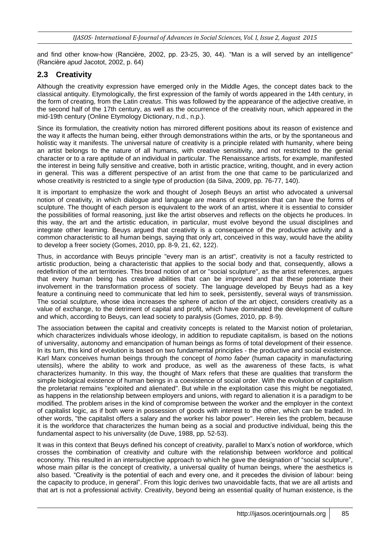and find other know-how (Rancière, 2002, pp. 23-25, 30, 44). "Man is a will served by an intelligence" (Rancière *apud* Jacotot, 2002, p. 64)

### **2.3 Creativity**

Although the creativity expression have emerged only in the Middle Ages, the concept dates back to the classical antiquity. Etymologically, the first expression of the family of words appeared in the 14th century, in the form of creating, from the Latin *creatus*. This was followed by the appearance of the adjective creative, in the second half of the 17th century, as well as the occurrence of the creativity noun, which appeared in the mid-19th century (Online Etymology Dictionary, n.d., n.p.).

Since its formulation, the creativity notion has mirrored different positions about its reason of existence and the way it affects the human being, either through demonstrations within the arts, or by the spontaneous and holistic way it manifests. The universal nature of creativity is a principle related with humanity, where being an artist belongs to the nature of all humans, with creative sensitivity, and not restricted to the genial character or to a rare aptitude of an individual in particular. The Renaissance artists, for example, manifested the interest in being fully sensitive and creative, both in artistic practice, writing, thought, and in every action in general. This was a different perspective of an artist from the one that came to be particularized and whose creativity is restricted to a single type of production (da Silva, 2009, pp. 76-77, 140).

It is important to emphasize the work and thought of Joseph Beuys an artist who advocated a universal notion of creativity, in which dialogue and language are means of expression that can have the forms of sculpture. The thought of each person is equivalent to the work of an artist, where it is essential to consider the possibilities of formal reasoning, just like the artist observes and reflects on the objects he produces. In this way, the art and the artistic education, in particular, must evolve beyond the usual disciplines and integrate other learning. Beuys argued that creativity is a consequence of the productive activity and a common characteristic to all human beings, saying that only art, conceived in this way, would have the ability to develop a freer society (Gomes, 2010, pp. 8-9, 21, 62, 122).

Thus, in accordance with Beuys principle "every man is an artist", creativity is not a faculty restricted to artistic production, being a characteristic that applies to the social body and that, consequently, allows a redefinition of the art territories. This broad notion of art or "social sculpture", as the artist references, argues that every human being has creative abilities that can be improved and that these potentiate their involvement in the transformation process of society. The language developed by Beuys had as a key feature a continuing need to communicate that led him to seek, persistently, several ways of transmission. The social sculpture, whose idea increases the sphere of action of the art object, considers creativity as a value of exchange, to the detriment of capital and profit, which have dominated the development of culture and which, according to Beuys, can lead society to paralysis (Gomes, 2010, pp. 8-9).

The association between the capital and creativity concepts is related to the Marxist notion of proletarian, which characterizes individuals whose ideology, in addition to repudiate capitalism, is based on the notions of universality, autonomy and emancipation of human beings as forms of total development of their essence. In its turn, this kind of evolution is based on two fundamental principles - the productive and social existence. Karl Marx conceives human beings through the concept of *homo faber* (human capacity in manufacturing utensils), where the ability to work and produce, as well as the awareness of these facts, is what characterizes humanity. In this way, the thought of Marx refers that these are qualities that transform the simple biological existence of human beings in a coexistence of social order. With the evolution of capitalism the proletariat remains "exploited and alienated". But while in the exploitation case this might be negotiated, as happens in the relationship between employers and unions, with regard to alienation it is a paradigm to be modified. The problem arises in the kind of compromise between the worker and the employer in the context of capitalist logic, as if both were in possession of goods with interest to the other, which can be traded. In other words, "the capitalist offers a salary and the worker his labor power". Herein lies the problem, because it is the workforce that characterizes the human being as a social and productive individual, being this the fundamental aspect to his universality (de Duve, 1988, pp. 52-53).

It was in this context that Beuys defined his concept of creativity, parallel to Marx's notion of workforce, which crosses the combination of creativity and culture with the relationship between workforce and political economy. This resulted in an intersubjective approach to which he gave the designation of "social sculpture", whose main pillar is the concept of creativity, a universal quality of human beings, where the aesthetics is also based. "Creativity is the potential of each and every one, and it precedes the division of labour: being the capacity to produce, in general". From this logic derives two unavoidable facts, that we are all artists and that art is not a professional activity. Creativity, beyond being an essential quality of human existence, is the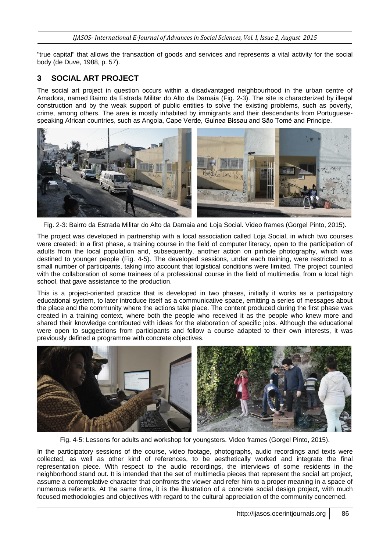"true capital" that allows the transaction of goods and services and represents a vital activity for the social body (de Duve, 1988, p. 57).

# **3 SOCIAL ART PROJECT**

The social art project in question occurs within a disadvantaged neighbourhood in the urban centre of Amadora, named Bairro da Estrada Militar do Alto da Damaia (Fig. 2-3). The site is characterized by illegal construction and by the weak support of public entities to solve the existing problems, such as poverty, crime, among others. The area is mostly inhabited by immigrants and their descendants from Portuguesespeaking African countries, such as Angola, Cape Verde, Guinea Bissau and São Tomé and Principe.



Fig. 2-3: Bairro da Estrada Militar do Alto da Damaia and Loja Social. Video frames (Gorgel Pinto, 2015).

The project was developed in partnership with a local association called Loja Social, in which two courses were created: in a first phase, a training course in the field of computer literacy, open to the participation of adults from the local population and, subsequently, another action on pinhole photography, which was destined to younger people (Fig. 4-5). The developed sessions, under each training, were restricted to a small number of participants, taking into account that logistical conditions were limited. The project counted with the collaboration of some trainees of a professional course in the field of multimedia, from a local high school, that gave assistance to the production.

This is a project-oriented practice that is developed in two phases, initially it works as a participatory educational system, to later introduce itself as a communicative space, emitting a series of messages about the place and the community where the actions take place. The content produced during the first phase was created in a training context, where both the people who received it as the people who knew more and shared their knowledge contributed with ideas for the elaboration of specific jobs. Although the educational were open to suggestions from participants and follow a course adapted to their own interests, it was previously defined a programme with concrete objectives.



Fig. 4-5: Lessons for adults and workshop for youngsters. Video frames (Gorgel Pinto, 2015).

In the participatory sessions of the course, video footage, photographs, audio recordings and texts were collected, as well as other kind of references, to be aesthetically worked and integrate the final representation piece. With respect to the audio recordings, the interviews of some residents in the neighborhood stand out. It is intended that the set of multimedia pieces that represent the social art project, assume a contemplative character that confronts the viewer and refer him to a proper meaning in a space of numerous referents. At the same time, it is the illustration of a concrete social design project, with much focused methodologies and objectives with regard to the cultural appreciation of the community concerned.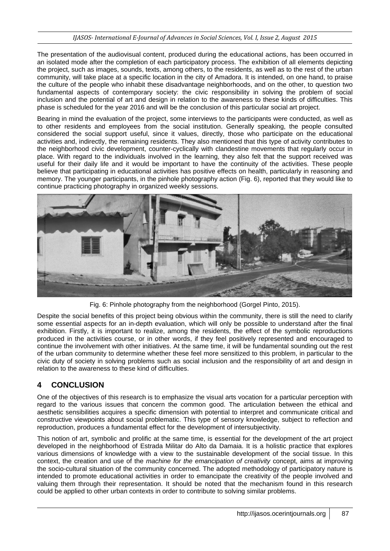#### *IJASOS- International E-Journal of Advances in Social Sciences, Vol. I, Issue 2, August 2015*

The presentation of the audiovisual content, produced during the educational actions, has been occurred in an isolated mode after the completion of each participatory process. The exhibition of all elements depicting the project, such as images, sounds, texts, among others, to the residents, as well as to the rest of the urban community, will take place at a specific location in the city of Amadora. It is intended, on one hand, to praise the culture of the people who inhabit these disadvantage neighborhoods, and on the other, to question two fundamental aspects of contemporary society: the civic responsibility in solving the problem of social inclusion and the potential of art and design in relation to the awareness to these kinds of difficulties. This phase is scheduled for the year 2016 and will be the conclusion of this particular social art project.

Bearing in mind the evaluation of the project, some interviews to the participants were conducted, as well as to other residents and employees from the social institution. Generally speaking, the people consulted considered the social support useful, since it values, directly, those who participate on the educational activities and, indirectly, the remaining residents. They also mentioned that this type of activity contributes to the neighborhood civic development, counter-cyclically with clandestine movements that regularly occur in place. With regard to the individuals involved in the learning, they also felt that the support received was useful for their daily life and it would be important to have the continuity of the activities. These people believe that participating in educational activities has positive effects on health, particularly in reasoning and memory. The younger participants, in the pinhole photography action (Fig. 6), reported that they would like to continue practicing photography in organized weekly sessions.



Fig. 6: Pinhole photography from the neighborhood (Gorgel Pinto, 2015).

Despite the social benefits of this project being obvious within the community, there is still the need to clarify some essential aspects for an in-depth evaluation, which will only be possible to understand after the final exhibition. Firstly, it is important to realize, among the residents, the effect of the symbolic reproductions produced in the activities course, or in other words, if they feel positively represented and encouraged to continue the involvement with other initiatives. At the same time, it will be fundamental sounding out the rest of the urban community to determine whether these feel more sensitized to this problem, in particular to the civic duty of society in solving problems such as social inclusion and the responsibility of art and design in relation to the awareness to these kind of difficulties.

### **4 CONCLUSION**

One of the objectives of this research is to emphasize the visual arts vocation for a particular perception with regard to the various issues that concern the common good. The articulation between the ethical and aesthetic sensibilities acquires a specific dimension with potential to interpret and communicate critical and constructive viewpoints about social problematic. This type of sensory knowledge, subject to reflection and reproduction, produces a fundamental effect for the development of intersubjectivity.

This notion of art, symbolic and prolific at the same time, is essential for the development of the art project developed in the neighborhood of Estrada Militar do Alto da Damaia. It is a holistic practice that explores various dimensions of knowledge with a view to the sustainable development of the social tissue. In this context, the creation and use of the *machine for the emancipation of creativity* concept, aims at improving the socio-cultural situation of the community concerned. The adopted methodology of participatory nature is intended to promote educational activities in order to emancipate the creativity of the people involved and valuing them through their representation. It should be noted that the mechanism found in this research could be applied to other urban contexts in order to contribute to solving similar problems.